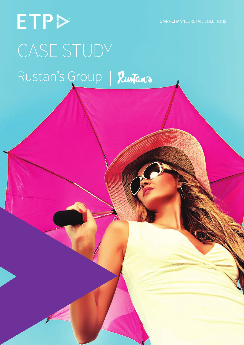OMNI-CHANNEL RETAIL SOLUTIONS

# ETPD CASE STUDY Rustan's Group | Rustan's

ETP Case Study | Rustan's Group Getting It Right In Retail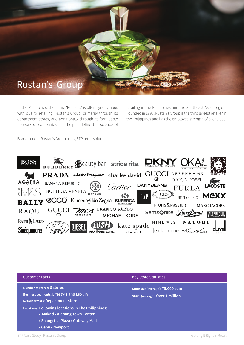

In the Philippines, the name 'Rustan's' is often synonymous with quality retailing. Rustan's Group, primarily through its department stores, and additionally through its formidable network of companies, has helped define the science of retailing in the Philippines and the Southeast Asian region. Founded in 1998, Rustan's Group is the third largest retailer in the Philippines and has the employee strength of over 3,000.

Brands under Rustan's Group using ETP retail solutions:



| <b>Customer Facts</b>                                                                                                                                                         | <b>Key Store Statistics</b>                                         |
|-------------------------------------------------------------------------------------------------------------------------------------------------------------------------------|---------------------------------------------------------------------|
| Number of stores: 6 stores<br><b>Business segments: Lifestyle and Luxury</b><br><b>Retail formats: Department store</b><br>Locations: Following locations in The Philippines: | Store size (average): 75,000 sqm<br>SKU's (average): Over 1 million |
| • Makati • Alabang Town Center<br>• Shangri-la Plaza • Gateway Mall<br>• Cebu • Newport                                                                                       |                                                                     |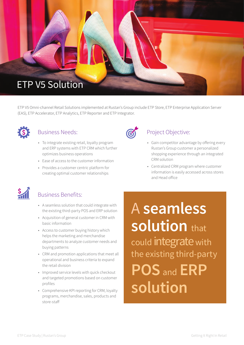

ETP V5 Omni-channel Retail Solutions implemented at Rustan's Group include ETP Store, ETP Enterprise Application Server (EAS), ETP Accelerator, ETP Analytics, ETP Reporter and ETP Integrator.



#### Business Needs:

- To integrate existing retail, loyalty program and ERP systems with ETP CRM which further optimizes business operations
- Ease of access to the customer information
- Provides a customer centric platform for creating optimal customer relationships



#### Project Objective:

- Gain competitor advantage by offering every Rustan's Group customer a personalized shopping experience through an integrated CRM solution
- Centralized CRM program where customer information is easily accessed across stores and Head office



### Business Benefits:

- A seamless solution that could integrate with the existing third-party POS and ERP solution
- Acquisition of general customer in CRM with basic information
- Access to customer buying history which helps the marketing and merchandise departments to analyze customer needs and buying patterns
- CRM and promotion applications that meet all operational and business criteria to expand the retail division
- Improved service levels with quick checkout and targeted promotions based on customer profiles
- Comprehensive KPI reporting for CRM, loyalty programs, merchandise, sales, products and store-staff

A **seamless solution** that **POS** and **ERP solution** could integrate with the existing third-party